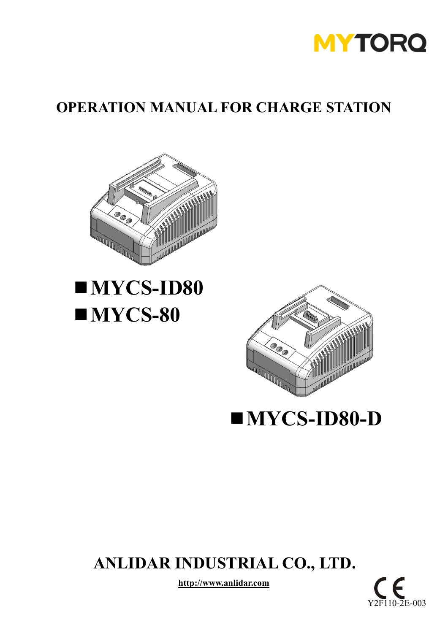

### **OPERATION MANUAL FOR CHARGE STATION**



# **MYCS-ID80** ■**MYCS-80**



 **MYCS-ID80-D**

# **ANLIDAR INDUSTRIAL CO., LTD.**

**http://www.anlidar.com**

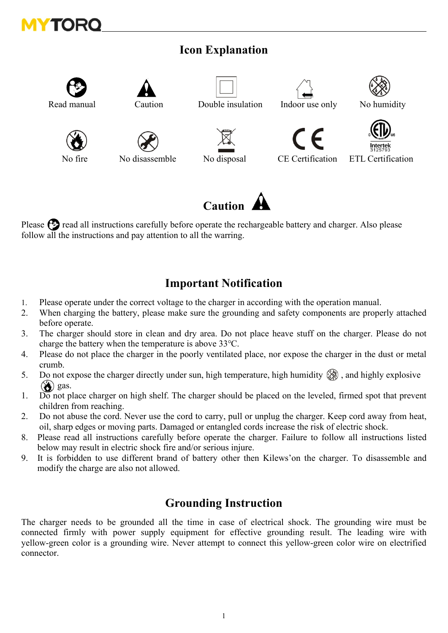

#### **Icon Explanation**



Please  $\odot$  read all instructions carefully before operate the rechargeable battery and charger. Also please follow all the instructions and pay attention to all the warring.

#### **Important Notification**

- 1. Please operate under the correct voltage to the charger in according with the operation manual.
- 2. When charging the battery, please make sure the grounding and safety components are properly attached before operate.
- 3. The charger should store in clean and dry area. Do not place heave stuff on the charger. Please do not charge the battery when the temperature is above 33℃.
- 4. Please do not place the charger in the poorly ventilated place, nor expose the charger in the dust or metal crumb.
- 5. Do not expose the charger directly under sun, high temperature, high humidity  $\circledR$ , and highly explosive  $\circled{d}$  gas.
- 1. Do not place charger on high shelf. The charger should be placed on the leveled, firmed spot that prevent children from reaching.
- 2. Do not abuse the cord. Never use the cord to carry, pull or unplug the charger. Keep cord away from heat, oil, sharp edges or moving parts. Damaged or entangled cords increase the risk of electric shock.
- 8. Please read all instructions carefully before operate the charger. Failure to follow all instructions listed below may result in electric shock fire and/or serious injure.
- 9. It is forbidden to use different brand of battery other then Kilews'on the charger. To disassemble and modify the charge are also not allowed.

#### **Grounding Instruction**

The charger needs to be grounded all the time in case of electrical shock. The grounding wire must be connected firmly with power supply equipment for effective grounding result. The leading wire with yellow-green color is a grounding wire. Never attempt to connect this yellow-green color wire on electrified connector.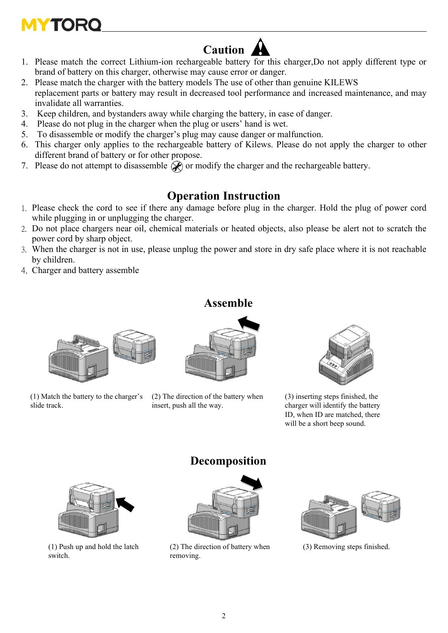# **MYTOR**

# **Caution**

- 1. Please match the correct Lithium-ion rechargeable battery for this charger,Do not apply different type or brand of battery on this charger, otherwise may cause error or danger.
- 2. Please match the charger with the battery models The use of other than genuine KILEWS replacement parts or battery may result in decreased tool performance and increased maintenance, and may invalidate all warranties.
- 3. Keep children, and bystanders away while charging the battery, in case of danger.
- 4. Please do not plug in the charger when the plug or users' hand is wet.
- 5. To disassemble or modify the charger's plug may cause danger or malfunction.
- 6. This charger only applies to the rechargeable battery of Kilews. Please do not apply the charger to other different brand of battery or for other propose.
- 7. Please do not attempt to disassemble  $\circledast$  or modify the charger and the rechargeable battery.

#### **Operation Instruction**

- 1. Please check the cord to see if there any damage before plug in the charger. Hold the plug of power cord while plugging in or unplugging the charger.
- 2. Do not place chargers near oil, chemical materials or heated objects, also please be alert not to scratch the power cord by sharp object.
- 3. When the charger is not in use, please unplug the power and store in dry safe place where it is not reachable by children.

**Assemble**

4. Charger and battery assemble



(1) Match the battery to the charger's slide track.



(2) The direction of the battery when insert, push all the way.



(3) inserting steps finished, the charger will identify the battery ID, when ID are matched, there will be a short beep sound.



(1) Push up and hold the latch switch.

#### **Decomposition**



(2) The direction of battery when removing.



(3) Removing steps finished.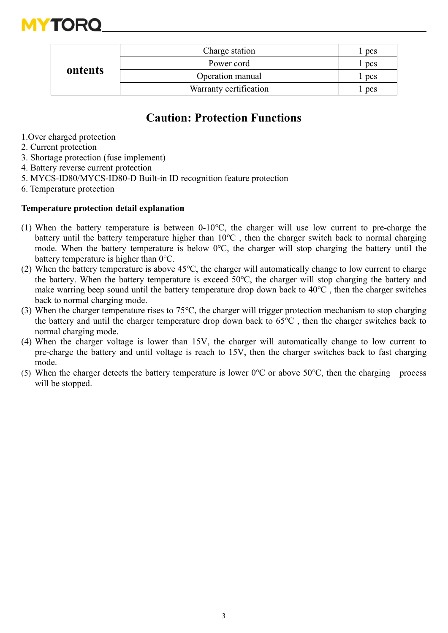

| ontents | Charge station         | pcs   |
|---------|------------------------|-------|
|         | Power cord             | pcs   |
|         | Operation manual       | l pcs |
|         | Warranty certification | pcs   |

#### **Caution: Protection Functions**

- 1.Over charged protection
- 2. Current protection
- 3. Shortage protection (fuse implement)
- 4. Battery reverse current protection
- 5. MYCS-ID80/MYCS-ID80-D Built-in ID recognition feature protection
- 6. Temperature protection

#### **Temperature protection detail explanation**

- (1) When the battery temperature is between 0-10℃, the charger will use low current to pre-charge the battery until the battery temperature higher than 10℃ , then the charger switch back to normal charging mode. When the battery temperature is below 0℃, the charger will stop charging the battery until the battery temperature is higher than 0℃.
- (2) When the battery temperature is above 45℃, the charger will automatically change to low current to charge the battery. When the battery temperature is exceed 50℃, the charger will stop charging the battery and make warring beep sound until the battery temperature drop down back to 40℃ , then the charger switches back to normal charging mode.
- (3) When the charger temperature rises to 75℃, the charger will trigger protection mechanism to stop charging the battery and until the charger temperature drop down back to 65℃ , then the charger switches back to normal charging mode.
- (4) When the charger voltage is lower than 15V, the charger will automatically change to low current to pre-charge the battery and until voltage is reach to 15V, then the charger switches back to fast charging mode.
- (5) When the charger detects the battery temperature is lower  $0^{\circ}$ C or above 50 $^{\circ}$ C, then the charging process will be stopped.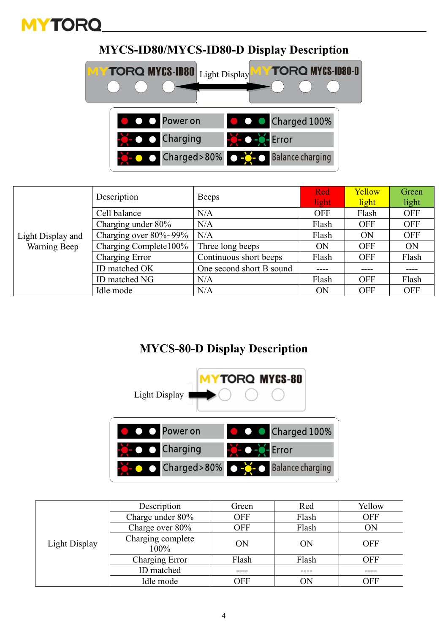

#### **MYCS-ID80/MYCS-ID80-D Display Description**



| Light Display and<br>Warning Beep | Description               | <b>Beeps</b>             | Red<br>light | Yellow<br>light | Green<br>light |
|-----------------------------------|---------------------------|--------------------------|--------------|-----------------|----------------|
|                                   | Cell balance              | N/A                      | <b>OFF</b>   | Flash           | <b>OFF</b>     |
|                                   | Charging under 80%        | N/A                      | Flash        | <b>OFF</b>      | <b>OFF</b>     |
|                                   | Charging over $80\%~99\%$ | N/A                      | Flash        | ON              | <b>OFF</b>     |
|                                   | Charging Complete100%     | Three long beeps         | ON           | <b>OFF</b>      | <b>ON</b>      |
|                                   | Charging Error            | Continuous short beeps   | Flash        | <b>OFF</b>      | Flash          |
|                                   | ID matched OK             | One second short B sound |              |                 |                |
|                                   | ID matched NG             | N/A                      | Flash        | <b>OFF</b>      | Flash          |
|                                   | Idle mode                 | N/A                      | ON           | <b>OFF</b>      | <b>OFF</b>     |

#### **MYCS-80-D Display Description**



|               | Description               | Green      | Red   | Yellow     |
|---------------|---------------------------|------------|-------|------------|
|               | Charge under 80%          | <b>OFF</b> | Flash | <b>OFF</b> |
|               | Charge over 80%           | <b>OFF</b> | Flash | ON         |
| Light Display | Charging complete<br>100% | ON         | ON    | <b>OFF</b> |
|               | Charging Error            | Flash      | Flash | <b>OFF</b> |
|               | ID matched                |            |       |            |
|               | Idle mode                 | OFF        | ON    | OFF        |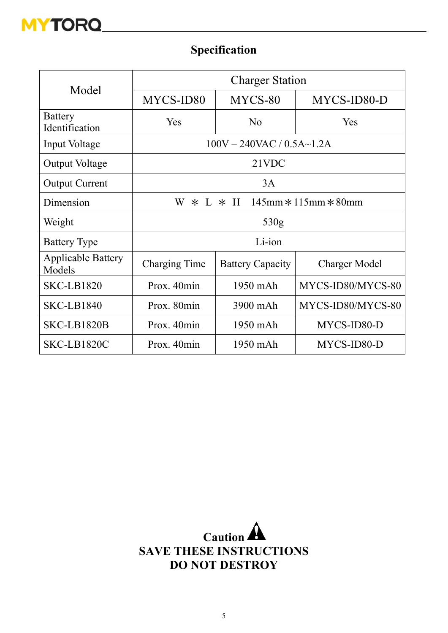

### **Specification**

| Model                               | <b>Charger Station</b>                                |                                  |                      |  |  |  |  |  |  |
|-------------------------------------|-------------------------------------------------------|----------------------------------|----------------------|--|--|--|--|--|--|
|                                     | MYCS-ID80                                             | MYCS-80                          | MYCS-ID80-D          |  |  |  |  |  |  |
| <b>Battery</b><br>Identification    | Yes                                                   | N <sub>o</sub>                   | Yes                  |  |  |  |  |  |  |
| Input Voltage                       |                                                       | $100V - 240VAC / 0.5A \sim 1.2A$ |                      |  |  |  |  |  |  |
| <b>Output Voltage</b>               | 21VDC                                                 |                                  |                      |  |  |  |  |  |  |
| <b>Output Current</b>               | 3A                                                    |                                  |                      |  |  |  |  |  |  |
| Dimension                           | $\ast$ L $\ast$ H 145mm $\ast$ 115mm $\ast$ 80mm<br>W |                                  |                      |  |  |  |  |  |  |
| Weight                              | 530g                                                  |                                  |                      |  |  |  |  |  |  |
| <b>Battery Type</b>                 | Li-ion                                                |                                  |                      |  |  |  |  |  |  |
| <b>Applicable Battery</b><br>Models | Charging Time                                         | <b>Battery Capacity</b>          | <b>Charger Model</b> |  |  |  |  |  |  |
| <b>SKC-LB1820</b>                   | Prox. 40min                                           | 1950 mAh                         | MYCS-ID80/MYCS-80    |  |  |  |  |  |  |
| <b>SKC-LB1840</b>                   | Prox. 80min                                           | 3900 mAh                         | MYCS-ID80/MYCS-80    |  |  |  |  |  |  |
| SKC-LB1820B                         | Prox. 40min                                           | 1950 mAh                         | MYCS-ID80-D          |  |  |  |  |  |  |
| SKC-LB1820C                         | Prox. 40min                                           | 1950 mAh                         | MYCS-ID80-D          |  |  |  |  |  |  |

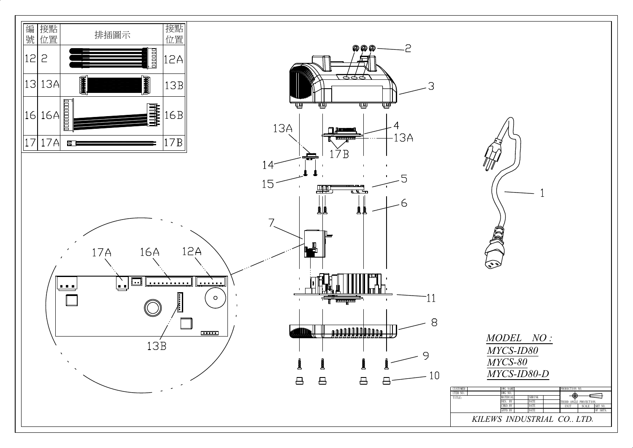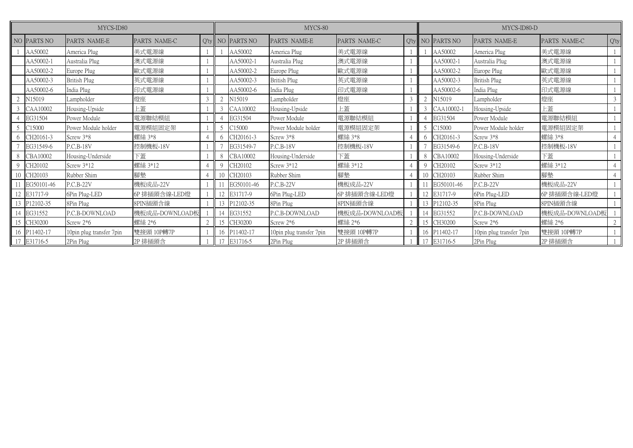| MYCS-ID80      |              |                          |                | MYCS-80 |    |             | MYCS-ID80-D              |                |  |                          |                  |                            |                |         |
|----------------|--------------|--------------------------|----------------|---------|----|-------------|--------------------------|----------------|--|--------------------------|------------------|----------------------------|----------------|---------|
|                | NO PARTS NO  | PARTS NAME-E             | PARTS NAME-C   | $O'$ ty |    | NO PARTS NO | PARTS NAME-E             | PARTS NAME-C   |  |                          | Q'ty NO PARTS NO | PARTS NAME-E               | PARTS NAME-C   | $Q'$ ty |
|                | AA50002      | America Plug             | 美式電源線          |         |    | AA50002     | America Plug             | 美式電源線          |  |                          | AA50002          | America Plug               | 美式電源線          |         |
|                | AA50002-1    | Australia Plug           | 澳式電源線          |         |    | AA50002-1   | Australia Plug           | 澳式電源線          |  |                          | AA50002-1        | Australia Plug             | 澳式電源線          |         |
|                | AA50002-2    | Europe Plug              | 歐式電源線          |         |    | AA50002-2   | Europe Plug              | 歐式電源線          |  |                          | AA50002-2        | Europe Plug                | 歐式電源線          |         |
|                | AA50002-3    | British Plug             | 英式電源線          |         |    | AA50002-3   | <b>British Plug</b>      | 英式電源線          |  |                          | AA50002-3        | <b>British Plug</b>        | 英式電源線          |         |
|                | AA50002-6    | India Plug               | 印式電源線          |         |    | AA50002-6   | India Plug               | 印式電源線          |  |                          | AA50002-6        | India Plug                 | 印式電源線          |         |
|                | N15019       | ampholder                | 燈座             |         |    | N15019      | Lampholder               | 燈座             |  |                          | N15019           | Lampholder                 | 燈座             | 3       |
|                | CAA10002     | Housing-Upside           | 上蓋             |         |    | CAA10002    | Housing-Upside           | 上蓋             |  |                          | CAA10002-1       | Housing-Upside             | 上蓋             |         |
| $\overline{4}$ | EG31504      | Power Module             | 電源聯結模組         |         |    | EG31504     | Power Module             | 電源聯結模組         |  |                          | EG31504          | Power Module               | 電源聯結模組         |         |
| 5              | C15000       | Power Module holder      | 電源模組固定架        |         |    | C15000      | Power Module holder      | 電源模組固定架        |  | $\overline{\mathcal{L}}$ | C15000           | Power Module holder        | 電源模組固定架        |         |
| 6              | CH20161-3    | Screw 3*8                | 螺絲 3*8         |         |    | CH20161-3   | Screw 3*8                | 螺絲 3*8         |  |                          | CH20161-3        | Screw 3*8                  | 螺絲 3*8         |         |
|                | EG31549-6    | P.C.B-18V                | 控制機板-18V       |         |    | EG31549-7   | P.C.B-18V                | 控制機板-18V       |  |                          | EG31549-6        | $P.C.B-18V$                | 控制機板-18V       |         |
| 8              | CBA10002     | Housing-Underside        | 下蓋             |         |    | CBA10002    | Housing-Underside        | 下蓋             |  | 8                        | CBA10002         | Housing-Underside          | 下蓋             |         |
| -9             | CH20102      | Screw $3*12$             | 螺絲 3*12        |         |    | CH20102     | Screw 3*12               | 螺絲 3*12        |  |                          | CH20102          | Screw 3*12                 | 螺絲 3*12        |         |
| 10             | CH20103      | Rubber Shim              | 腳墊             |         |    | CH20103     | Rubber Shim              | 腳墊             |  | 10                       | CH20103          | Rubber Shim                | 腳墊             |         |
|                | EG50101-46   | $P.C.B-22V$              | 機板成品-22V       |         |    | EG50101-46  | P.C.B-22V                | 機板成品-22V       |  |                          | EG50101-46       | P.C.B-22V                  | 機板成品-22V       |         |
| 12             | E31717-9     | 6Pin Plug-LED            | GP 排插頭含線-LED燈  |         |    | E31717-9    | 6Pin Plug-LED            | 6P 排插頭含線-LED燈  |  |                          | E31717-9         | 6Pin Plug-LED              | 6P 排插頭含線-LED燈  |         |
| 13             | P12102-35    | 8Pin Plug                | 8PIN插頭含線       |         | 13 | P12102-35   | 8Pin Plug                | 8PIN插頭含線       |  |                          | P12102-35        | 8Pin Plug                  | 8PIN插頭含線       |         |
|                | 14 EG31552   | P.C.B-DOWNLOAD           | 機板成品-DOWNLOAD板 |         |    | EG31552     | P.C.B-DOWNLOAD           | 機板成品-DOWNLOAD板 |  |                          | EG31552          | P.C.B-DOWNLOAD             | 機板成品-DOWNLOAD板 |         |
|                | 15 CH30200   | Screw $2*6$              | 螺絲 2*6         |         | 15 | CH30200     | Screw 2*6                | 螺絲 2*6         |  | 15                       | CH30200          | Screw $2*6$                | 螺絲 2*6         |         |
|                | 16 P11402-17 | 10pin plug transfer 7pin | 雙接頭 10P轉7P     |         | 16 | P11402-17   | 10pin plug transfer 7pin | 雙接頭 10P轉7P     |  | 16                       | P11402-17        | 10 pin plug transfer 7 pin | 雙接頭 10P轉7P     |         |
|                | 17 E31716-5  | 2Pin Plug                | 2P 排插頭含        |         |    | E31716-5    | 2Pin Plug                | 2P 排插頭含        |  |                          | E31716-5         | 2Pin Plug                  | 2P 排插頭含        |         |